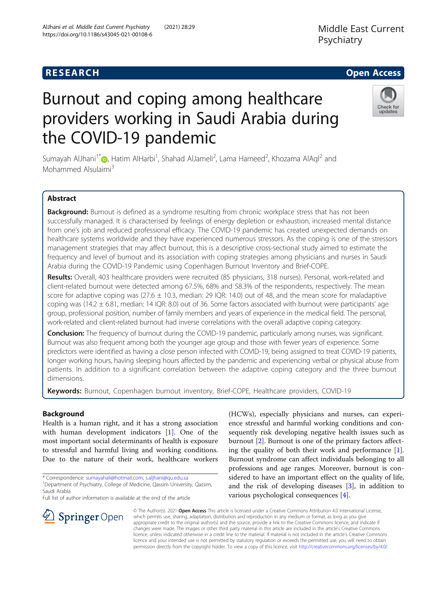# **RESEARCH CHILD CONTROL** CONTROL CONTROL CONTROL CONTROL CONTROL CONTROL CONTROL CONTROL CONTROL CONTROL CONTROL

# Burnout and coping among healthcare providers working in Saudi Arabia during the COVID-19 pandemic

Sumayah AlJhani<sup>1\*</sup> , Hatim AlHarbi<sup>1</sup>, Shahad AlJameli<sup>2</sup>, Lama Hameed<sup>2</sup>, Khozama AlAql<sup>2</sup> and Mohammed Alsulaimi<sup>3</sup>

# Abstract

Background: Burnout is defined as a syndrome resulting from chronic workplace stress that has not been successfully managed. It is characterised by feelings of energy depletion or exhaustion, increased mental distance from one's job and reduced professional efficacy. The COVID-19 pandemic has created unexpected demands on healthcare systems worldwide and they have experienced numerous stressors. As the coping is one of the stressors management strategies that may affect burnout, this is a descriptive cross-sectional study aimed to estimate the frequency and level of burnout and its association with coping strategies among physicians and nurses in Saudi Arabia during the COVID-19 Pandemic using Copenhagen Burnout Inventory and Brief-COPE.

Results: Overall, 403 healthcare providers were recruited (85 physicians, 318 nurses). Personal, work-related and client-related burnout were detected among 67.5%, 68% and 58.3% of the respondents, respectively. The mean score for adaptive coping was (27.6  $\pm$  10.3, median: 29 IQR: 14.0) out of 48, and the mean score for maladaptive coping was (14.2  $\pm$  6.81, median: 14 IQR: 8.0) out of 36. Some factors associated with burnout were participants' age group, professional position, number of family members and years of experience in the medical field. The personal, work-related and client-related burnout had inverse correlations with the overall adaptive coping category.

**Conclusion:** The frequency of burnout during the COVID-19 pandemic, particularly among nurses, was significant. Burnout was also frequent among both the younger age group and those with fewer years of experience. Some predictors were identified as having a close person infected with COVID-19, being assigned to treat COVID-19 patients, longer working hours, having sleeping hours affected by the pandemic and experiencing verbal or physical abuse from patients. In addition to a significant correlation between the adaptive coping category and the three burnout dimensions.

Keywords: Burnout, Copenhagen burnout inventory, Brief-COPE, Healthcare providers, COVID-19

# Background

Health is a human right, and it has a strong association with human development indicators [[1\]](#page-11-0). One of the most important social determinants of health is exposure to stressful and harmful living and working conditions. Due to the nature of their work, healthcare workers

\* Correspondence: [sumayahali@hotmail.com;](mailto:sumayahali@hotmail.com) [s.aljhani@qu.edu.sa](mailto:s.aljhani@qu.edu.sa) <sup>1</sup> <sup>1</sup> Department of Psychiatry, College of Medicine, Qassim University, Qassim, Saudi Arabia

Full list of author information is available at the end of the article

 $\perp$  Springer Open

ence stressful and harmful working conditions and consequently risk developing negative health issues such as burnout [[2\]](#page-11-0). Burnout is one of the primary factors affecting the quality of both their work and performance [\[1](#page-11-0)]. Burnout syndrome can affect individuals belonging to all professions and age ranges. Moreover, burnout is considered to have an important effect on the quality of life, and the risk of developing diseases [\[3\]](#page-11-0), in addition to various psychological consequences [[4\]](#page-11-0).

© The Author(s). 2021 Open Access This article is licensed under a Creative Commons Attribution 4.0 International License, which permits use, sharing, adaptation, distribution and reproduction in any medium or format, as long as you give appropriate credit to the original author(s) and the source, provide a link to the Creative Commons licence, and indicate if changes were made. The images or other third party material in this article are included in the article's Creative Commons licence, unless indicated otherwise in a credit line to the material. If material is not included in the article's Creative Commons licence and your intended use is not permitted by statutory regulation or exceeds the permitted use, you will need to obtain permission directly from the copyright holder. To view a copy of this licence, visit <http://creativecommons.org/licenses/by/4.0/>.

(HCWs), especially physicians and nurses, can experi-

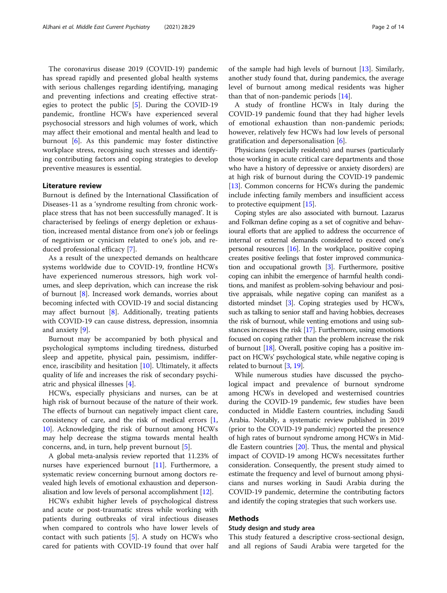The coronavirus disease 2019 (COVID-19) pandemic has spread rapidly and presented global health systems with serious challenges regarding identifying, managing and preventing infections and creating effective strategies to protect the public [\[5](#page-11-0)]. During the COVID-19 pandemic, frontline HCWs have experienced several psychosocial stressors and high volumes of work, which may affect their emotional and mental health and lead to burnout [[6\]](#page-11-0). As this pandemic may foster distinctive workplace stress, recognising such stresses and identifying contributing factors and coping strategies to develop preventive measures is essential.

# Literature review

Burnout is defined by the International Classification of Diseases-11 as a 'syndrome resulting from chronic workplace stress that has not been successfully managed'. It is characterised by feelings of energy depletion or exhaustion, increased mental distance from one's job or feelings of negativism or cynicism related to one's job, and reduced professional efficacy [\[7](#page-11-0)].

As a result of the unexpected demands on healthcare systems worldwide due to COVID-19, frontline HCWs have experienced numerous stressors, high work volumes, and sleep deprivation, which can increase the risk of burnout [[8\]](#page-11-0). Increased work demands, worries about becoming infected with COVID-19 and social distancing may affect burnout [\[8](#page-11-0)]. Additionally, treating patients with COVID-19 can cause distress, depression, insomnia and anxiety [[9\]](#page-12-0).

Burnout may be accompanied by both physical and psychological symptoms including tiredness, disturbed sleep and appetite, physical pain, pessimism, indifference, irascibility and hesitation [[10\]](#page-12-0). Ultimately, it affects quality of life and increases the risk of secondary psychiatric and physical illnesses [[4\]](#page-11-0).

HCWs, especially physicians and nurses, can be at high risk of burnout because of the nature of their work. The effects of burnout can negatively impact client care, consistency of care, and the risk of medical errors [\[1](#page-11-0), [10\]](#page-12-0). Acknowledging the risk of burnout among HCWs may help decrease the stigma towards mental health concerns, and, in turn, help prevent burnout [\[5](#page-11-0)].

A global meta-analysis review reported that 11.23% of nurses have experienced burnout [\[11\]](#page-12-0). Furthermore, a systematic review concerning burnout among doctors revealed high levels of emotional exhaustion and depersonalisation and low levels of personal accomplishment [[12](#page-12-0)].

HCWs exhibit higher levels of psychological distress and acute or post-traumatic stress while working with patients during outbreaks of viral infectious diseases when compared to controls who have lower levels of contact with such patients [\[5](#page-11-0)]. A study on HCWs who cared for patients with COVID-19 found that over half

of the sample had high levels of burnout [[13\]](#page-12-0). Similarly, another study found that, during pandemics, the average level of burnout among medical residents was higher than that of non-pandemic periods [\[14](#page-12-0)].

A study of frontline HCWs in Italy during the COVID-19 pandemic found that they had higher levels of emotional exhaustion than non-pandemic periods; however, relatively few HCWs had low levels of personal gratification and depersonalisation [[6\]](#page-11-0).

Physicians (especially residents) and nurses (particularly those working in acute critical care departments and those who have a history of depressive or anxiety disorders) are at high risk of burnout during the COVID-19 pandemic [[13](#page-12-0)]. Common concerns for HCWs during the pandemic include infecting family members and insufficient access to protective equipment [[15](#page-12-0)].

Coping styles are also associated with burnout. Lazarus and Folkman define coping as a set of cognitive and behavioural efforts that are applied to address the occurrence of internal or external demands considered to exceed one's personal resources [[16](#page-12-0)]. In the workplace, positive coping creates positive feelings that foster improved communication and occupational growth [\[3](#page-11-0)]. Furthermore, positive coping can inhibit the emergence of harmful health conditions, and manifest as problem-solving behaviour and positive appraisals, while negative coping can manifest as a distorted mindset [\[3](#page-11-0)]. Coping strategies used by HCWs, such as talking to senior staff and having hobbies, decreases the risk of burnout, while venting emotions and using substances increases the risk [\[17\]](#page-12-0). Furthermore, using emotions focused on coping rather than the problem increase the risk of burnout [[18](#page-12-0)]. Overall, positive coping has a positive impact on HCWs' psychological state, while negative coping is related to burnout [\[3,](#page-11-0) [19\]](#page-12-0).

While numerous studies have discussed the psychological impact and prevalence of burnout syndrome among HCWs in developed and westernised countries during the COVID-19 pandemic, few studies have been conducted in Middle Eastern countries, including Saudi Arabia. Notably, a systematic review published in 2019 (prior to the COVID-19 pandemic) reported the presence of high rates of burnout syndrome among HCWs in Middle Eastern countries [[20](#page-12-0)]. Thus, the mental and physical impact of COVID-19 among HCWs necessitates further consideration. Consequently, the present study aimed to estimate the frequency and level of burnout among physicians and nurses working in Saudi Arabia during the COVID-19 pandemic, determine the contributing factors and identify the coping strategies that such workers use.

# Methods

# Study design and study area

This study featured a descriptive cross-sectional design, and all regions of Saudi Arabia were targeted for the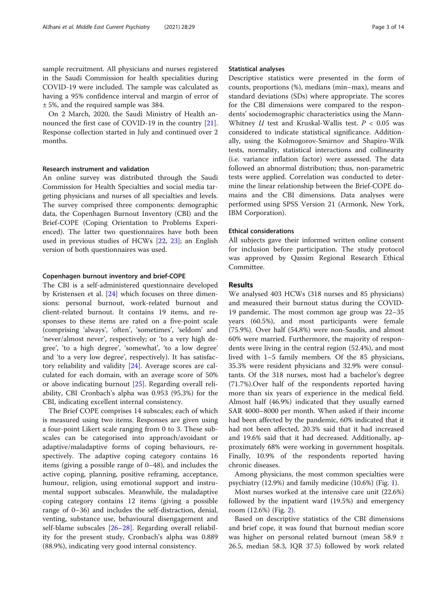sample recruitment. All physicians and nurses registered in the Saudi Commission for health specialities during COVID-19 were included. The sample was calculated as having a 95% confidence interval and margin of error of ± 5%, and the required sample was 384.

On 2 March, 2020, the Saudi Ministry of Health announced the first case of COVID-19 in the country [\[21](#page-12-0)]. Response collection started in July and continued over 2 months.

#### Research instrument and validation

An online survey was distributed through the Saudi Commission for Health Specialties and social media targeting physicians and nurses of all specialties and levels. The survey comprised three components: demographic data, the Copenhagen Burnout Inventory (CBI) and the Brief-COPE (Coping Orientation to Problems Experienced). The latter two questionnaires have both been used in previous studies of HCWs [[22,](#page-12-0) [23\]](#page-12-0); an English version of both questionnaires was used.

#### Copenhagen burnout inventory and brief-COPE

The CBI is a self-administered questionnaire developed by Kristensen et al. [\[24\]](#page-12-0) which focuses on three dimensions: personal burnout, work-related burnout and client-related burnout. It contains 19 items, and responses to these items are rated on a five-point scale (comprising 'always', 'often', 'sometimes', 'seldom' and 'never/almost never', respectively; or 'to a very high degree', 'to a high degree', 'somewhat', 'to a low degree' and 'to a very low degree', respectively). It has satisfactory reliability and validity [\[24](#page-12-0)]. Average scores are calculated for each domain, with an average score of 50% or above indicating burnout [[25\]](#page-12-0). Regarding overall reliability, CBI Cronbach's alpha was 0.953 (95.3%) for the CBI, indicating excellent internal consistency.

The Brief COPE comprises 14 subscales; each of which is measured using two items. Responses are given using a four-point Likert scale ranging from 0 to 3. These subscales can be categorised into approach/avoidant or adaptive/maladaptive forms of coping behaviours, respectively. The adaptive coping category contains 16 items (giving a possible range of 0–48), and includes the active coping, planning, positive reframing, acceptance, humour, religion, using emotional support and instrumental support subscales. Meanwhile, the maladaptive coping category contains 12 items (giving a possible range of 0–36) and includes the self-distraction, denial, venting, substance use, behavioural disengagement and self-blame subscales [[26](#page-12-0)–[28](#page-12-0)]. Regarding overall reliability for the present study, Cronbach's alpha was 0.889 (88.9%), indicating very good internal consistency.

## Statistical analyses

Descriptive statistics were presented in the form of counts, proportions (%), medians (min–max), means and standard deviations (SDs) where appropriate. The scores for the CBI dimensions were compared to the respondents' sociodemographic characteristics using the Mann-Whitney  $U$  test and Kruskal-Wallis test.  $P < 0.05$  was considered to indicate statistical significance. Additionally, using the Kolmogorov-Smirnov and Shapiro-Wilk tests, normality, statistical interactions and collinearity (i.e. variance inflation factor) were assessed. The data followed an abnormal distribution; thus, non-parametric tests were applied. Correlation was conducted to determine the linear relationship between the Brief-COPE domains and the CBI dimensions. Data analyses were performed using SPSS Version 21 (Armonk, New York, IBM Corporation).

## Ethical considerations

All subjects gave their informed written online consent for inclusion before participation. The study protocol was approved by Qassim Regional Research Ethical Committee.

## Results

We analysed 403 HCWs (318 nurses and 85 physicians) and measured their burnout status during the COVID-19 pandemic. The most common age group was 22–35 years (60.5%), and most participants were female (75.9%). Over half (54.8%) were non-Saudis, and almost 60% were married. Furthermore, the majority of respondents were living in the central region (52.4%), and most lived with 1–5 family members. Of the 85 physicians, 35.3% were resident physicians and 32.9% were consultants. Of the 318 nurses, most had a bachelor's degree (71.7%).Over half of the respondents reported having more than six years of experience in the medical field. Almost half (46.9%) indicated that they usually earned SAR 4000–8000 per month. When asked if their income had been affected by the pandemic, 60% indicated that it had not been affected, 20.3% said that it had increased and 19.6% said that it had decreased. Additionally, approximately 68% were working in government hospitals. Finally, 10.9% of the respondents reported having chronic diseases.

Among physicians, the most common specialties were psychiatry (12.9%) and family medicine (10.6%) (Fig. [1](#page-3-0)).

Most nurses worked at the intensive care unit (22.6%) followed by the inpatient ward (19.5%) and emergency room (12.6%) (Fig. [2](#page-3-0)).

Based on descriptive statistics of the CBI dimensions and brief cope, it was found that burnout median score was higher on personal related burnout (mean 58.9 ± 26.5, median 58.3, IQR 37.5) followed by work related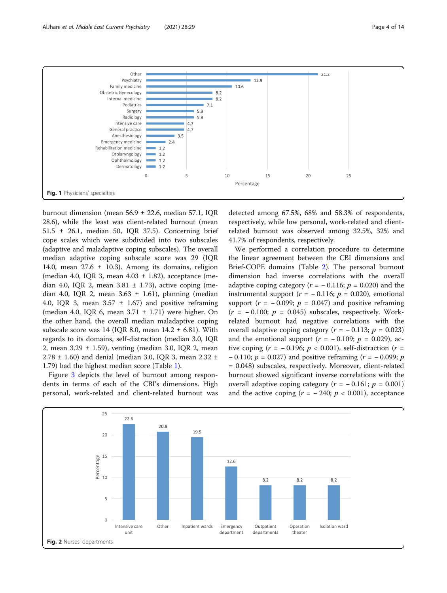<span id="page-3-0"></span>

burnout dimension (mean 56.9 ± 22.6, median 57.1, IQR 28.6), while the least was client-related burnout (mean 51.5 ± 26.1, median 50, IQR 37.5). Concerning brief cope scales which were subdivided into two subscales (adaptive and maladaptive coping subscales). The overall median adaptive coping subscale score was 29 (IQR 14.0, mean  $27.6 \pm 10.3$ ). Among its domains, religion (median 4.0, IQR 3, mean  $4.03 \pm 1.82$ ), acceptance (median 4.0, IQR 2, mean  $3.81 \pm 1.73$ ), active coping (median 4.0, IQR 2, mean  $3.63 \pm 1.61$ ), planning (median 4.0, IQR 3, mean  $3.57 \pm 1.67$  and positive reframing (median 4.0, IOR 6, mean  $3.71 \pm 1.71$ ) were higher. On the other hand, the overall median maladaptive coping subscale score was 14 (IOR 8.0, mean  $14.2 \pm 6.81$ ). With regards to its domains, self-distraction (median 3.0, IQR 2, mean 3.29 ± 1.59), venting (median 3.0, IQR 2, mean 2.78  $\pm$  1.60) and denial (median 3.0, IOR 3, mean 2.32  $\pm$ 1.79) had the highest median score (Table [1\)](#page-4-0).

Figure [3](#page-4-0) depicts the level of burnout among respondents in terms of each of the CBI's dimensions. High personal, work-related and client-related burnout was

detected among 67.5%, 68% and 58.3% of respondents, respectively, while low personal, work-related and clientrelated burnout was observed among 32.5%, 32% and 41.7% of respondents, respectively.

We performed a correlation procedure to determine the linear agreement between the CBI dimensions and Brief-COPE domains (Table [2](#page-5-0)). The personal burnout dimension had inverse correlations with the overall adaptive coping category ( $r = -0.116$ ;  $p = 0.020$ ) and the instrumental support ( $r = -0.116$ ;  $p = 0.020$ ), emotional support ( $r = -0.099$ ;  $p = 0.047$ ) and positive reframing  $(r = -0.100; p = 0.045)$  subscales, respectively. Workrelated burnout had negative correlations with the overall adaptive coping category ( $r = -0.113$ ;  $p = 0.023$ ) and the emotional support ( $r = -0.109$ ;  $p = 0.029$ ), active coping ( $r = -0.196$ ;  $p < 0.001$ ), self-distraction ( $r =$  $-0.110$ ;  $p = 0.027$ ) and positive reframing ( $r = -0.099$ ; p = 0.048) subscales, respectively. Moreover, client-related burnout showed significant inverse correlations with the overall adaptive coping category ( $r = -0.161$ ;  $p = 0.001$ ) and the active coping  $(r = -240; p < 0.001)$ , acceptance

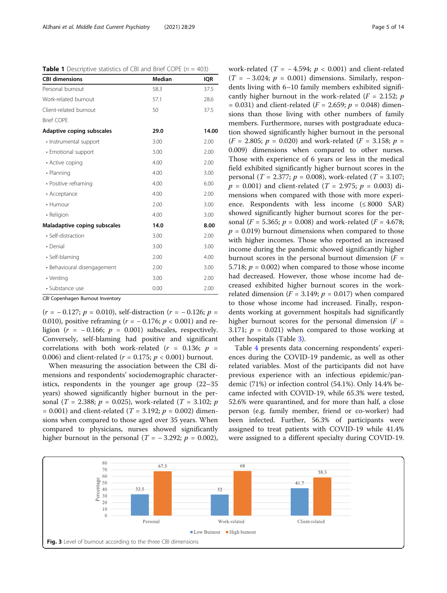<span id="page-4-0"></span>

|  | <b>Table 1</b> Descriptive statistics of CBI and Brief COPE ( $n = 403$ ) |  |  |  |  |
|--|---------------------------------------------------------------------------|--|--|--|--|
|  |                                                                           |  |  |  |  |

| <b>CBI dimensions</b>        | <b>Median</b> | <b>IQR</b> |
|------------------------------|---------------|------------|
| Personal burnout             | 58.3          | 37.5       |
| Work-related burnout         | 57.1          | 28.6       |
| Client-related burnout       | 50            | 37.5       |
| <b>Brief COPF</b>            |               |            |
| Adaptive coping subscales    | 29.0          | 14.00      |
| · Instrumental support       | 3.00          | 2.00       |
| · Emotional support          | 3.00          | 2.00       |
| • Active coping              | 4.00          | 2.00       |
| • Planning                   | 4.00          | 3.00       |
| • Positive reframing         | 4.00          | 6.00       |
| • Acceptance                 | 4.00          | 2.00       |
| • Humour                     | 2.00          | 3.00       |
| • Religion                   | 4.00          | 3.00       |
| Maladaptive coping subscales | 14.0          | 8.00       |
| • Self-distraction           | 3.00          | 2.00       |
| • Denial                     | 3.00          | 3.00       |
| · Self-blaming               | 2.00          | 4.00       |
| • Behavioural disengagement  | 2.00          | 3.00       |
| • Venting                    | 3.00          | 2.00       |
| • Substance use              | 0.00          | 2.00       |

CBI Copenhagen Burnout Inventory

 $(r = -0.127; p = 0.010)$ , self-distraction  $(r = -0.126; p = 0.010)$ 0.010), positive reframing ( $r = -0.176$ ;  $p < 0.001$ ) and religion ( $r = -0.166$ ;  $p = 0.001$ ) subscales, respectively. Conversely, self-blaming had positive and significant correlations with both work-related ( $r = 0.136$ ;  $p =$ 0.006) and client-related ( $r = 0.175$ ;  $p < 0.001$ ) burnout.

When measuring the association between the CBI dimensions and respondents' sociodemographic characteristics, respondents in the younger age group (22–35 years) showed significantly higher burnout in the personal (T = 2.388;  $p = 0.025$ ), work-related (T = 3.102;  $p$  $= 0.001$ ) and client-related (*T* = 3.192; *p* = 0.002) dimensions when compared to those aged over 35 years. When compared to physicians, nurses showed significantly higher burnout in the personal ( $T = -3.292$ ;  $p = 0.002$ ),

work-related ( $T = -4.594$ ;  $p < 0.001$ ) and client-related  $(T = -3.024; p = 0.001)$  dimensions. Similarly, respondents living with 6–10 family members exhibited significantly higher burnout in the work-related ( $F = 2.152$ ; p = 0.031) and client-related ( $F = 2.659$ ;  $p = 0.048$ ) dimensions than those living with other numbers of family members. Furthermore, nurses with postgraduate education showed significantly higher burnout in the personal  $(F = 2.805; p = 0.020)$  and work-related  $(F = 3.158; p = 1.020)$ 0.009) dimensions when compared to other nurses. Those with experience of 6 years or less in the medical field exhibited significantly higher burnout scores in the personal (*T* = 2.377;  $p = 0.008$ ), work-related (*T* = 3.107;  $p = 0.001$ ) and client-related (T = 2.975;  $p = 0.003$ ) dimensions when compared with those with more experience. Respondents with less income  $(\leq 8000$  SAR) showed significantly higher burnout scores for the personal ( $F = 5.365$ ;  $p = 0.008$ ) and work-related ( $F = 4.678$ ;  $p = 0.019$ ) burnout dimensions when compared to those with higher incomes. Those who reported an increased income during the pandemic showed significantly higher burnout scores in the personal burnout dimension  $(F =$ 5.718;  $p = 0.002$ ) when compared to those whose income had decreased. However, those whose income had decreased exhibited higher burnout scores in the workrelated dimension ( $F = 3.149$ ;  $p = 0.017$ ) when compared to those whose income had increased. Finally, respondents working at government hospitals had significantly higher burnout scores for the personal dimension  $(F =$ 3.171;  $p = 0.021$ ) when compared to those working at other hospitals (Table [3](#page-6-0)).

Table [4](#page-8-0) presents data concerning respondents' experiences during the COVID-19 pandemic, as well as other related variables. Most of the participants did not have previous experience with an infectious epidemic/pandemic (71%) or infection control (54.1%). Only 14.4% became infected with COVID-19, while 65.3% were tested, 52.6% were quarantined, and for more than half, a close person (e.g. family member, friend or co-worker) had been infected. Further, 56.3% of participants were assigned to treat patients with COVID-19 while 41.4% were assigned to a different specialty during COVID-19.

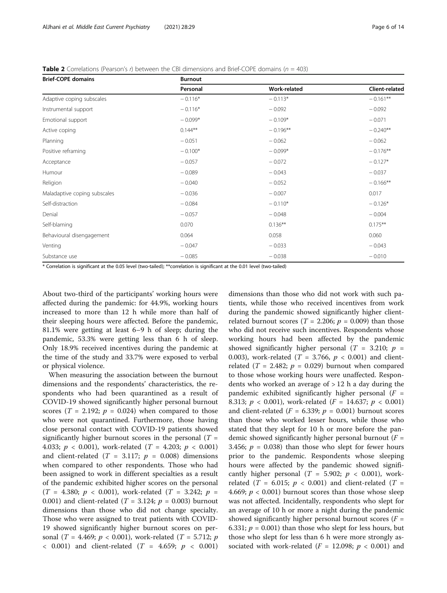<span id="page-5-0"></span>

|  |  |  | <b>Table 2</b> Correlations (Pearson's r) between the CBI dimensions and Brief-COPE domains ( $n = 403$ ) |  |
|--|--|--|-----------------------------------------------------------------------------------------------------------|--|
|--|--|--|-----------------------------------------------------------------------------------------------------------|--|

| <b>Brief-COPE domains</b>    | <b>Burnout</b> |              |                       |
|------------------------------|----------------|--------------|-----------------------|
|                              | Personal       | Work-related | <b>Client-related</b> |
| Adaptive coping subscales    | $-0.116*$      | $-0.113*$    | $-0.161**$            |
| Instrumental support         | $-0.116*$      | $-0.092$     | $-0.092$              |
| Emotional support            | $-0.099*$      | $-0.109*$    | $-0.071$              |
| Active coping                | $0.144***$     | $-0.196**$   | $-0.240**$            |
| Planning                     | $-0.051$       | $-0.062$     | $-0.062$              |
| Positive reframing           | $-0.100*$      | $-0.099*$    | $-0.176**$            |
| Acceptance                   | $-0.057$       | $-0.072$     | $-0.127*$             |
| Humour                       | $-0.089$       | $-0.043$     | $-0.037$              |
| Religion                     | $-0.040$       | $-0.052$     | $-0.166**$            |
| Maladaptive coping subscales | $-0.036$       | $-0.007$     | 0.017                 |
| Self-distraction             | $-0.084$       | $-0.110*$    | $-0.126*$             |
| Denial                       | $-0.057$       | $-0.048$     | $-0.004$              |
| Self-blaming                 | 0.070          | $0.136***$   | $0.175***$            |
| Behavioural disengagement    | 0.064          | 0.058        | 0.060                 |
| Venting                      | $-0.047$       | $-0.033$     | $-0.043$              |
| Substance use                | $-0.085$       | $-0.038$     | $-0.010$              |

\* Correlation is significant at the 0.05 level (two-tailed); \*\*correlation is significant at the 0.01 level (two-tailed)

About two-third of the participants' working hours were affected during the pandemic: for 44.9%, working hours increased to more than 12 h while more than half of their sleeping hours were affected. Before the pandemic, 81.1% were getting at least 6–9 h of sleep; during the pandemic, 53.3% were getting less than 6 h of sleep. Only 18.9% received incentives during the pandemic at the time of the study and 33.7% were exposed to verbal or physical violence.

When measuring the association between the burnout dimensions and the respondents' characteristics, the respondents who had been quarantined as a result of COVID-19 showed significantly higher personal burnout scores ( $T = 2.192$ ;  $p = 0.024$ ) when compared to those who were not quarantined. Furthermore, those having close personal contact with COVID-19 patients showed significantly higher burnout scores in the personal ( $T =$ 4.033;  $p < 0.001$ ), work-related (T = 4.203;  $p < 0.001$ ) and client-related  $(T = 3.117; p = 0.008)$  dimensions when compared to other respondents. Those who had been assigned to work in different specialties as a result of the pandemic exhibited higher scores on the personal  $(T = 4.380; p < 0.001)$ , work-related  $(T = 3.242; p =$ 0.001) and client-related ( $T = 3.124$ ;  $p = 0.003$ ) burnout dimensions than those who did not change specialty. Those who were assigned to treat patients with COVID-19 showed significantly higher burnout scores on personal (T = 4.469;  $p < 0.001$ ), work-related (T = 5.712; p  $< 0.001$ ) and client-related (*T* = 4.659; *p*  $< 0.001$ )

dimensions than those who did not work with such patients, while those who received incentives from work during the pandemic showed significantly higher clientrelated burnout scores ( $T = 2.206$ ;  $p = 0.009$ ) than those who did not receive such incentives. Respondents whose working hours had been affected by the pandemic showed significantly higher personal ( $T = 3.210$ ;  $p =$ 0.003), work-related ( $T = 3.766$ ,  $p < 0.001$ ) and clientrelated ( $T = 2.482$ ;  $p = 0.029$ ) burnout when compared to those whose working hours were unaffected. Respondents who worked an average of  $> 12$  h a day during the pandemic exhibited significantly higher personal  $(F =$ 8.313;  $p < 0.001$ ), work-related ( $F = 14.637$ ;  $p < 0.001$ ) and client-related ( $F = 6.339$ ;  $p = 0.001$ ) burnout scores than those who worked lesser hours, while those who stated that they slept for 10 h or more before the pandemic showed significantly higher personal burnout  $(F =$ 3.456;  $p = 0.038$ ) than those who slept for fewer hours prior to the pandemic. Respondents whose sleeping hours were affected by the pandemic showed significantly higher personal ( $T = 5.902$ ;  $p < 0.001$ ), workrelated (T = 6.015;  $p < 0.001$ ) and client-related (T = 4.669;  $p < 0.001$ ) burnout scores than those whose sleep was not affected. Incidentally, respondents who slept for an average of 10 h or more a night during the pandemic showed significantly higher personal burnout scores ( $F =$ 6.331;  $p = 0.001$ ) than those who slept for less hours, but those who slept for less than 6 h were more strongly associated with work-related ( $F = 12.098$ ;  $p < 0.001$ ) and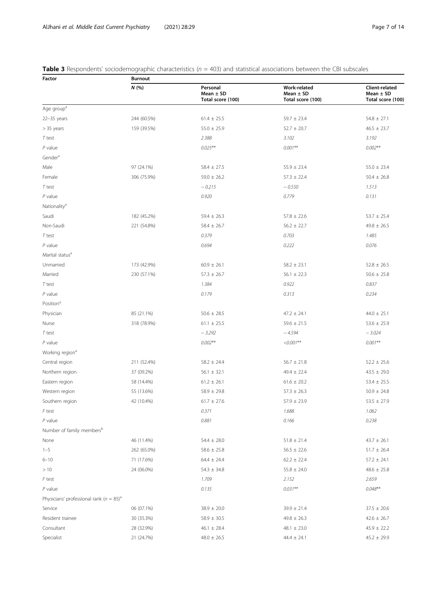# <span id="page-6-0"></span>**Table 3** Respondents' sociodemographic characteristics ( $n = 403$ ) and statistical associations between the CBI subscales

| Factor                                                  | <b>Burnout</b> |                                                |                                                    |                                                      |  |  |  |  |
|---------------------------------------------------------|----------------|------------------------------------------------|----------------------------------------------------|------------------------------------------------------|--|--|--|--|
|                                                         | N(%)           | Personal<br>Mean $\pm$ SD<br>Total score (100) | Work-related<br>Mean $\pm$ SD<br>Total score (100) | Client-related<br>Mean $\pm$ SD<br>Total score (100) |  |  |  |  |
| Age group <sup>a</sup>                                  |                |                                                |                                                    |                                                      |  |  |  |  |
| $22-35$ years                                           | 244 (60.5%)    | $61.4 \pm 25.5$                                | $59.7 \pm 23.4$                                    | $54.8 \pm 27.1$                                      |  |  |  |  |
| $> 35$ years                                            | 159 (39.5%)    | $55.0 \pm 25.9$                                | $52.7 \pm 20.7$                                    | $46.5 \pm 23.7$                                      |  |  |  |  |
| T test                                                  |                | 2.388                                          | 3.102                                              | 3.192                                                |  |  |  |  |
| $P$ value                                               |                | $0.025***$                                     | $0.001**$                                          | $0.002**$                                            |  |  |  |  |
| Gender <sup>a</sup>                                     |                |                                                |                                                    |                                                      |  |  |  |  |
| Male                                                    | 97 (24.1%)     | $58.4 \pm 27.5$                                | $55.9 \pm 23.4$                                    | $55.0 \pm 23.4$                                      |  |  |  |  |
| Female                                                  | 306 (75.9%)    | $59.0 \pm 26.2$                                | $57.3 \pm 22.4$                                    | $50.4 \pm 26.8$                                      |  |  |  |  |
| $T$ test                                                |                | $-0.215$                                       | $-0.550$                                           | 1.513                                                |  |  |  |  |
| $P$ value                                               |                | 0.920                                          | 0.779                                              | 0.131                                                |  |  |  |  |
| Nationality <sup>a</sup>                                |                |                                                |                                                    |                                                      |  |  |  |  |
| Saudi                                                   | 182 (45.2%)    | $59.4 \pm 26.3$                                | $57.8 \pm 22.6$                                    | $53.7 \pm 25.4$                                      |  |  |  |  |
| Non-Saudi                                               | 221 (54.8%)    | $58.4 \pm 26.7$                                | $56.2 \pm 22.7$                                    | $49.8 \pm 26.5$                                      |  |  |  |  |
| T test                                                  |                | 0.379                                          | 0.703                                              | 1.485                                                |  |  |  |  |
| $P$ value                                               |                | 0.694                                          | 0.222                                              | 0.076                                                |  |  |  |  |
| Marital status <sup>a</sup>                             |                |                                                |                                                    |                                                      |  |  |  |  |
| Unmarried                                               | 173 (42.9%)    | $60.9 \pm 26.1$                                | $58.2 \pm 23.1$                                    | $52.8 \pm 26.5$                                      |  |  |  |  |
| Married                                                 | 230 (57.1%)    | $57.3 \pm 26.7$                                | $56.1 \pm 22.3$                                    | $50.6 \pm 25.8$                                      |  |  |  |  |
| T test                                                  |                | 1.384                                          | 0.922                                              | 0.837                                                |  |  |  |  |
| $P$ value                                               |                | 0.179                                          | 0.313                                              | 0.234                                                |  |  |  |  |
| Position <sup>a</sup>                                   |                |                                                |                                                    |                                                      |  |  |  |  |
| Physician                                               | 85 (21.1%)     | $50.6 \pm 28.5$                                | $47.2 \pm 24.1$                                    | $44.0 \pm 25.1$                                      |  |  |  |  |
| Nurse                                                   | 318 (78.9%)    | $61.1 \pm 25.5$                                | $59.6 \pm 21.5$                                    | $53.6 \pm 25.9$                                      |  |  |  |  |
| T test                                                  |                | $-3.292$                                       | $-4.594$                                           | $-3.024$                                             |  |  |  |  |
| $P$ value                                               |                | $0.002**$                                      | $<0.001**$                                         | $0.001**$                                            |  |  |  |  |
| Working region <sup>a</sup>                             |                |                                                |                                                    |                                                      |  |  |  |  |
| Central region                                          | 211 (52.4%)    | $58.2 \pm 24.4$                                | $56.7 \pm 21.8$                                    | $52.2 \pm 25.6$                                      |  |  |  |  |
| Northern region                                         | 37 (09.2%)     | $56.1 \pm 32.1$                                | $49.4 \pm 22.4$                                    | $43.5 \pm 29.0$                                      |  |  |  |  |
| Eastern region                                          | 58 (14.4%)     | $61.2 \pm 26.1$                                | $61.6 \pm 20.2$                                    | $53.4 \pm 25.5$                                      |  |  |  |  |
| Western region                                          | 55 (13.6%)     | $58.9 \pm 29.8$                                | $57.3 \pm 26.3$                                    | $50.9 \pm 24.8$                                      |  |  |  |  |
| Southern region                                         | 42 (10.4%)     | $61.7 \pm 27.6$                                | $57.9 \pm 23.9$                                    | $53.5 \pm 27.9$                                      |  |  |  |  |
| F test                                                  |                | 0.371                                          | 1.688                                              | 1.062                                                |  |  |  |  |
| $P$ value                                               |                | 0.881                                          | 0.166                                              | 0.238                                                |  |  |  |  |
| Number of family members <sup>b</sup>                   |                |                                                |                                                    |                                                      |  |  |  |  |
| None                                                    | 46 (11.4%)     | $54.4 \pm 28.0$                                | $51.8 \pm 21.4$                                    | $43.7 \pm 26.1$                                      |  |  |  |  |
| $1 - 5$                                                 | 262 (65.0%)    | $58.6 \pm 25.8$                                | $56.5 \pm 22.6$                                    | $51.7 \pm 26.4$                                      |  |  |  |  |
| $6 - 10$                                                | 71 (17.6%)     | $64.4 \pm 24.4$                                | $62.2 \pm 22.4$                                    | $57.2 \pm 24.1$                                      |  |  |  |  |
| >10                                                     | 24 (06.0%)     | $54.3 \pm 34.8$                                | $55.8 \pm 24.0$                                    | $48.6 \pm 25.8$                                      |  |  |  |  |
| F test                                                  |                | 1.709                                          | 2.152                                              | 2.659                                                |  |  |  |  |
| $P$ value                                               |                | 0.135                                          | $0.031**$                                          | $0.048**$                                            |  |  |  |  |
| Physicians' professional rank ( $n = 85$ ) <sup>a</sup> |                |                                                |                                                    |                                                      |  |  |  |  |
| Service                                                 | 06 (07.1%)     | $38.9 \pm 20.0$                                | $39.9 \pm 21.4$                                    | $37.5 \pm 20.6$                                      |  |  |  |  |
| Resident trainee                                        | 30 (35.3%)     | $58.9 \pm 30.5$                                | $49.8 \pm 26.3$                                    | $42.6 \pm 26.7$                                      |  |  |  |  |
| Consultant                                              | 28 (32.9%)     | $46.1 \pm 28.4$                                | $48.1 \pm 23.0$                                    | $45.9 \pm 22.2$                                      |  |  |  |  |
| Specialist                                              | 21 (24.7%)     | $48.0 \pm 26.5$                                | $44.4 \pm 24.1$                                    | $45.2 \pm 29.9$                                      |  |  |  |  |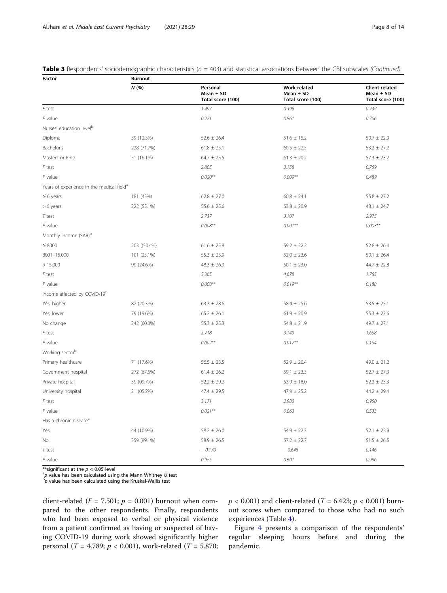|  | <b>Table 3</b> Respondents' sociodemographic characteristics ( $n = 403$ ) and statistical associations between the CBI subscales (Continued) |  |  |  |
|--|-----------------------------------------------------------------------------------------------------------------------------------------------|--|--|--|
|--|-----------------------------------------------------------------------------------------------------------------------------------------------|--|--|--|

| Factor                                                | <b>Burnout</b> |                                                |                                                           |                                                      |  |  |  |
|-------------------------------------------------------|----------------|------------------------------------------------|-----------------------------------------------------------|------------------------------------------------------|--|--|--|
|                                                       | N(%            | Personal<br>Mean $\pm$ SD<br>Total score (100) | <b>Work-related</b><br>Mean $\pm$ SD<br>Total score (100) | Client-related<br>Mean $\pm$ SD<br>Total score (100) |  |  |  |
| $F$ test                                              |                | 1.497                                          | 0.396                                                     | 0.232                                                |  |  |  |
| $P$ value                                             |                | 0.271                                          | 0.861                                                     | 0.756                                                |  |  |  |
| Nurses' education level <sup>b</sup>                  |                |                                                |                                                           |                                                      |  |  |  |
| Diploma                                               | 39 (12.3%)     | $52.6 \pm 26.4$                                | $51.6 \pm 15.2$                                           | $50.7 \pm 22.0$                                      |  |  |  |
| Bachelor's                                            | 228 (71.7%)    | $61.8 \pm 25.1$                                | $60.5 \pm 22.5$                                           | $53.2 \pm 27.2$                                      |  |  |  |
| Masters or PhD                                        | 51 (16.1%)     | $64.7 \pm 25.5$                                | $61.3 \pm 20.2$                                           | $57.3 \pm 23.2$                                      |  |  |  |
| F test                                                |                | 2.805                                          | 3.158                                                     | 0.769                                                |  |  |  |
| $P$ value                                             |                | $0.020**$                                      | $0.009**$                                                 | 0.489                                                |  |  |  |
| Years of experience in the medical field <sup>a</sup> |                |                                                |                                                           |                                                      |  |  |  |
| $\leq 6$ years                                        | 181 (45%)      | $62.8 \pm 27.0$                                | $60.8 \pm 24.1$                                           | $55.8 \pm 27.2$                                      |  |  |  |
| $> 6$ years                                           | 222 (55.1%)    | $55.6 \pm 25.6$                                | $53.8 \pm 20.9$                                           | 48.1 $\pm$ 24.7                                      |  |  |  |
| $T$ test                                              |                | 2.737                                          | 3.107                                                     | 2.975                                                |  |  |  |
| $P$ value                                             |                | $0.008**$                                      | $0.001**$                                                 | $0.003**$                                            |  |  |  |
| Monthly income (SAR) <sup>b</sup>                     |                |                                                |                                                           |                                                      |  |  |  |
| $\leq 8000$                                           | 203 ((50.4%)   | $61.6 \pm 25.8$                                | $59.2 \pm 22.2$                                           | $52.8 \pm 26.4$                                      |  |  |  |
| 8001-15,000                                           | 101 (25.1%)    | $55.3 \pm 25.9$                                | $52.0 \pm 23.6$                                           | $50.1 \pm 26.4$                                      |  |  |  |
| >15,000                                               | 99 (24.6%)     | $48.3 \pm 26.9$                                | $50.1 \pm 23.0$                                           | $44.7 \pm 22.8$                                      |  |  |  |
| $F$ test                                              |                | 5.365                                          | 4.678                                                     | 1.765                                                |  |  |  |
| $P$ value                                             |                | $0.008**$                                      | $0.019**$                                                 | 0.188                                                |  |  |  |
| Income affected by COVID-19 <sup>b</sup>              |                |                                                |                                                           |                                                      |  |  |  |
| Yes, higher                                           | 82 (20.3%)     | $63.3 \pm 28.6$                                | $58.4 \pm 25.6$                                           | $53.5 \pm 25.1$                                      |  |  |  |
| Yes, lower                                            | 79 (19.6%)     | $65.2 \pm 26.1$                                | $61.9 \pm 20.9$                                           | $55.3 \pm 23.6$                                      |  |  |  |
| No change                                             | 242 (60.0%)    | $55.3 \pm 25.3$                                | $54.8 \pm 21.9$                                           | $49.7 \pm 27.1$                                      |  |  |  |
| F test                                                |                | 5.718                                          | 3.149                                                     | 1.658                                                |  |  |  |
| $P$ value                                             |                | $0.002**$                                      | $0.017***$                                                | 0.154                                                |  |  |  |
| Working sector <sup>b</sup>                           |                |                                                |                                                           |                                                      |  |  |  |
| Primary healthcare                                    | 71 (17.6%)     | $56.5 \pm 23.5$                                | $52.9 \pm 20.4$                                           | $49.0 \pm 21.2$                                      |  |  |  |
| Government hospital                                   | 272 (67.5%)    | $61.4 \pm 26.2$                                | $59.1 \pm 23.3$                                           | $52.7 \pm 27.3$                                      |  |  |  |
| Private hospital                                      | 39 (09.7%)     | $52.2 \pm 29.2$                                | $53.9 \pm 18.0$                                           | $52.2 \pm 23.3$                                      |  |  |  |
| University hospital                                   | 21 (05.2%)     | $47.4 \pm 29.5$                                | $47.9 \pm 25.2$                                           | $44.2 \pm 29.4$                                      |  |  |  |
| F test                                                |                | 3.171                                          | 2.980                                                     | 0.950                                                |  |  |  |
| $P$ value                                             |                | $0.021**$                                      | 0.063                                                     | 0.533                                                |  |  |  |
| Has a chronic disease <sup>a</sup>                    |                |                                                |                                                           |                                                      |  |  |  |
| Yes                                                   | 44 (10.9%)     | $58.2 \pm 26.0$                                | $54.9 \pm 22.3$                                           | $52.1 \pm 22.9$                                      |  |  |  |
| No                                                    | 359 (89.1%)    | $58.9 \pm 26.5$                                | $57.2 \pm 22.7$                                           | $51.5 \pm 26.5$                                      |  |  |  |
| $T$ test                                              |                | $-0.170$                                       | $-0.648$                                                  | 0.146                                                |  |  |  |
| $P$ value                                             |                | 0.975                                          | 0.601                                                     | 0.996                                                |  |  |  |

\*\*significant at the  $p < 0.05$  level

 $^{\text{a}}\!p$  value has been calculated using the Mann Whitney U test bp value has been calculated using the Kruskal-Wallis test

client-related ( $F = 7.501$ ;  $p = 0.001$ ) burnout when compared to the other respondents. Finally, respondents who had been exposed to verbal or physical violence from a patient confirmed as having or suspected of having COVID-19 during work showed significantly higher personal (*T* = 4.789;  $p < 0.001$ ), work-related (*T* = 5.870;  $p < 0.001$ ) and client-related (*T* = 6.423;  $p < 0.001$ ) burnout scores when compared to those who had no such experiences (Table [4](#page-8-0)).

Figure [4](#page-9-0) presents a comparison of the respondents' regular sleeping hours before and during the pandemic.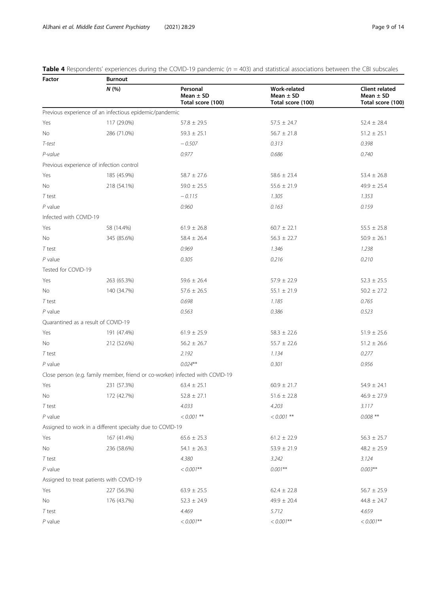<span id="page-8-0"></span>**Table 4** Respondents' experiences during the COVID-19 pandemic ( $n = 403$ ) and statistical associations between the CBI subscales

| Factor                 | <b>Burnout</b>                                            |                                                                               |                                                           |                                                             |  |  |  |
|------------------------|-----------------------------------------------------------|-------------------------------------------------------------------------------|-----------------------------------------------------------|-------------------------------------------------------------|--|--|--|
|                        | N(%)                                                      | Personal<br>Mean $\pm$ SD<br>Total score (100)                                | <b>Work-related</b><br>Mean $\pm$ SD<br>Total score (100) | <b>Client related</b><br>Mean $\pm$ SD<br>Total score (100) |  |  |  |
|                        | Previous experience of an infectious epidemic/pandemic    |                                                                               |                                                           |                                                             |  |  |  |
| Yes                    | 117 (29.0%)                                               | $57.8 \pm 29.5$                                                               | $57.5 \pm 24.7$                                           | $52.4 \pm 28.4$                                             |  |  |  |
| No                     | 286 (71.0%)                                               | $59.3 \pm 25.1$                                                               | $56.7 \pm 21.8$                                           | $51.2 \pm 25.1$                                             |  |  |  |
| T-test                 |                                                           | $-0.507$                                                                      | 0.313                                                     | 0.398                                                       |  |  |  |
| P-value                |                                                           | 0.977                                                                         | 0.686                                                     | 0.740                                                       |  |  |  |
|                        | Previous experience of infection control                  |                                                                               |                                                           |                                                             |  |  |  |
| Yes                    | 185 (45.9%)                                               | $58.7 \pm 27.6$                                                               | $58.6 \pm 23.4$                                           | $53.4 \pm 26.8$                                             |  |  |  |
| No                     | 218 (54.1%)                                               | $59.0 \pm 25.5$                                                               | $55.6 \pm 21.9$                                           | $49.9 \pm 25.4$                                             |  |  |  |
| $T$ test               |                                                           | $-0.115$                                                                      | 1.305                                                     | 1.353                                                       |  |  |  |
| $P$ value              |                                                           | 0.960                                                                         | 0.163                                                     | 0.159                                                       |  |  |  |
| Infected with COVID-19 |                                                           |                                                                               |                                                           |                                                             |  |  |  |
| Yes                    | 58 (14.4%)                                                | $61.9 \pm 26.8$                                                               | $60.7 \pm 22.1$                                           | $55.5 \pm 25.8$                                             |  |  |  |
| No                     | 345 (85.6%)                                               | $58.4 \pm 26.4$                                                               | $56.3 \pm 22.7$                                           | $50.9 \pm 26.1$                                             |  |  |  |
| $T$ test               |                                                           | 0.969                                                                         | 1.346                                                     | 1.238                                                       |  |  |  |
| $P$ value              |                                                           | 0.305                                                                         | 0.216                                                     | 0.210                                                       |  |  |  |
| Tested for COVID-19    |                                                           |                                                                               |                                                           |                                                             |  |  |  |
| Yes                    | 263 (65.3%)                                               | $59.6 \pm 26.4$                                                               | $57.9 \pm 22.9$                                           | $52.3 \pm 25.5$                                             |  |  |  |
| No                     | 140 (34.7%)                                               | $57.6 \pm 26.5$                                                               | $55.1 \pm 21.9$                                           | $50.2 \pm 27.2$                                             |  |  |  |
| $T$ test               |                                                           | 0.698                                                                         | 1.185                                                     | 0.765                                                       |  |  |  |
| $P$ value              |                                                           | 0.563                                                                         | 0.386                                                     | 0.523                                                       |  |  |  |
|                        | Quarantined as a result of COVID-19                       |                                                                               |                                                           |                                                             |  |  |  |
| Yes                    | 191 (47.4%)                                               | $61.9 \pm 25.9$                                                               | $58.3 \pm 22.6$                                           | $51.9 \pm 25.6$                                             |  |  |  |
| No                     | 212 (52.6%)                                               | $56.2 \pm 26.7$                                                               | $55.7 \pm 22.6$                                           | $51.2 \pm 26.6$                                             |  |  |  |
| $T$ test               |                                                           | 2.192                                                                         | 1.134                                                     | 0.277                                                       |  |  |  |
| $P$ value              |                                                           | $0.024***$                                                                    | 0.301                                                     | 0.956                                                       |  |  |  |
|                        |                                                           | Close person (e.g. family member, friend or co-worker) infected with COVID-19 |                                                           |                                                             |  |  |  |
| Yes                    | 231 (57.3%)                                               | $63.4 \pm 25.1$                                                               | $60.9 \pm 21.7$                                           | $54.9 \pm 24.1$                                             |  |  |  |
| <b>No</b>              | 172 (42.7%)                                               | $52.8 \pm 27.1$                                                               | $51.6 \pm 22.8$                                           | $46.9 \pm 27.9$                                             |  |  |  |
| $T$ test               |                                                           | 4.033                                                                         | 4.203                                                     | 3.117                                                       |  |  |  |
| $P$ value              |                                                           | $< 0.001$ $^{\ast\ast}$                                                       | $< 0.001$ **                                              | $0.008$ **                                                  |  |  |  |
|                        | Assigned to work in a different specialty due to COVID-19 |                                                                               |                                                           |                                                             |  |  |  |
| Yes                    | 167 (41.4%)                                               | $65.6 \pm 25.3$                                                               | $61.2 \pm 22.9$                                           | $56.3 \pm 25.7$                                             |  |  |  |
| No                     | 236 (58.6%)                                               | $54.1 \pm 26.3$                                                               | $53.9 \pm 21.9$                                           | $48.2 \pm 25.9$                                             |  |  |  |
| T test                 |                                                           | 4.380                                                                         | 3.242                                                     | 3.124                                                       |  |  |  |
| $P$ value              |                                                           | $< 0.001$ **                                                                  | $0.001**$                                                 | $0.003**$                                                   |  |  |  |
|                        | Assigned to treat patients with COVID-19                  |                                                                               |                                                           |                                                             |  |  |  |
| Yes                    | 227 (56.3%)                                               | $63.9 \pm 25.5$                                                               | $62.4 \pm 22.8$                                           | $56.7 \pm 25.9$                                             |  |  |  |
| No                     | 176 (43.7%)                                               | $52.3 \pm 24.9$                                                               | $49.9 \pm 20.4$                                           | $44.8 \pm 24.7$                                             |  |  |  |
| T test                 |                                                           | 4.469                                                                         | 5.712                                                     | 4.659                                                       |  |  |  |
| $P$ value              |                                                           | $< 0.001$ **                                                                  | $< 0.001$ **                                              | $< 0.001$ **                                                |  |  |  |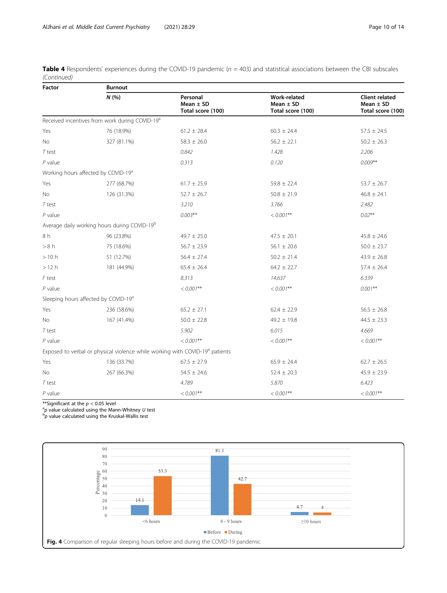<span id="page-9-0"></span>

| Table 4 Respondents' experiences during the COVID-19 pandemic (n = 403) and statistical associations between the CBI subscales |  |
|--------------------------------------------------------------------------------------------------------------------------------|--|
| (Continued)                                                                                                                    |  |

| Factor    | <b>Burnout</b>                                             |                                                                                          |                                                           |                                                             |  |  |  |
|-----------|------------------------------------------------------------|------------------------------------------------------------------------------------------|-----------------------------------------------------------|-------------------------------------------------------------|--|--|--|
|           | N(%                                                        | Personal<br>Mean $\pm$ SD<br>Total score (100)                                           | <b>Work-related</b><br>Mean $\pm$ SD<br>Total score (100) | <b>Client related</b><br>Mean $\pm$ SD<br>Total score (100) |  |  |  |
|           | Received incentives from work during COVID-19 <sup>a</sup> |                                                                                          |                                                           |                                                             |  |  |  |
| Yes       | 76 (18.9%)                                                 | $61.2 \pm 28.4$                                                                          | $60.3 \pm 24.4$                                           | $57.5 \pm 24.5$                                             |  |  |  |
| No        | 327 (81.1%)                                                | $58.3 \pm 26.0$                                                                          | $56.2 \pm 22.1$                                           | $50.2 \pm 26.3$                                             |  |  |  |
| $T$ test  |                                                            | 0.842                                                                                    | 1.428                                                     | 2.206                                                       |  |  |  |
| $P$ value |                                                            | 0.313                                                                                    | 0.120                                                     | $0.009**$                                                   |  |  |  |
|           | Working hours affected by COVID-19 <sup>a</sup>            |                                                                                          |                                                           |                                                             |  |  |  |
| Yes       | 277 (68.7%)                                                | $61.7 \pm 25.9$                                                                          | $59.8 \pm 22.4$                                           | $53.7 \pm 26.7$                                             |  |  |  |
| No        | 126 (31.3%)                                                | $52.7 \pm 26.7$                                                                          | $50.8 \pm 21.9$                                           | $46.8 \pm 24.1$                                             |  |  |  |
| $T$ test  |                                                            | 3.210                                                                                    | 3.766                                                     | 2.482                                                       |  |  |  |
| $P$ value |                                                            | $0.003***$                                                                               | $< 0.001$ **                                              | $0.02***$                                                   |  |  |  |
|           | Average daily working hours during COVID-19 <sup>b</sup>   |                                                                                          |                                                           |                                                             |  |  |  |
| 8 h       | 96 (23.8%)                                                 | $49.7 \pm 25.0$                                                                          | $47.5 \pm 20.1$                                           | $45.8 \pm 24.6$                                             |  |  |  |
| > 8 h     | 75 (18.6%)                                                 | $56.7 \pm 23.9$                                                                          | 56.1 $\pm$ 20.6                                           | $50.0 \pm 23.7$                                             |  |  |  |
| >10 h     | 51 (12.7%)                                                 | $56.4 \pm 27.4$                                                                          | $50.2 \pm 21.4$                                           | $43.9 \pm 26.8$                                             |  |  |  |
| >12 h     | 181 (44.9%)                                                | $65.4 \pm 26.4$                                                                          | $64.2 \pm 22.7$                                           | $57.4 \pm 26.4$                                             |  |  |  |
| F test    |                                                            | 8.313                                                                                    | 14.637                                                    | 6.339                                                       |  |  |  |
| $P$ value |                                                            | $< 0.001$ **                                                                             | $< 0.001$ **                                              | $0.001***$                                                  |  |  |  |
|           | Sleeping hours affected by COVID-19 <sup>a</sup>           |                                                                                          |                                                           |                                                             |  |  |  |
| Yes       | 236 (58.6%)                                                | $65.2 \pm 27.1$                                                                          | $62.4 \pm 22.9$                                           | $56.5 \pm 26.8$                                             |  |  |  |
| No        | 167 (41.4%)                                                | $50.0 \pm 22.8$                                                                          | $49.2 \pm 19.8$                                           | $44.5 \pm 23.3$                                             |  |  |  |
| $T$ test  |                                                            | 5.902                                                                                    | 6.015                                                     | 4.669                                                       |  |  |  |
| $P$ value |                                                            | $< 0.001$ **                                                                             | $< 0.001$ **                                              | $< 0.001$ **                                                |  |  |  |
|           |                                                            | Exposed to verbal or physical violence while working with COVID-19 <sup>a</sup> patients |                                                           |                                                             |  |  |  |
| Yes       | 136 (33.7%)                                                | $67.5 \pm 27.9$                                                                          | $65.9 \pm 24.4$                                           | $62.7 \pm 26.5$                                             |  |  |  |
| No        | 267 (66.3%)                                                | $54.5 \pm 24.6$                                                                          | $52.4 \pm 20.3$                                           | $45.9 \pm 23.9$                                             |  |  |  |
| $T$ test  |                                                            | 4.789                                                                                    | 5.870                                                     | 6.423                                                       |  |  |  |
| $P$ value |                                                            | $< 0.001$ **                                                                             | $< 0.001$ **                                              | $< 0.001$ **                                                |  |  |  |

\*\*Significant at the  $p < 0.05$  level

<sup>a</sup>p value calculated using the Mann-Whitney U test<br><sup>b</sup>p value calculated using the Kruskal-Wallis test

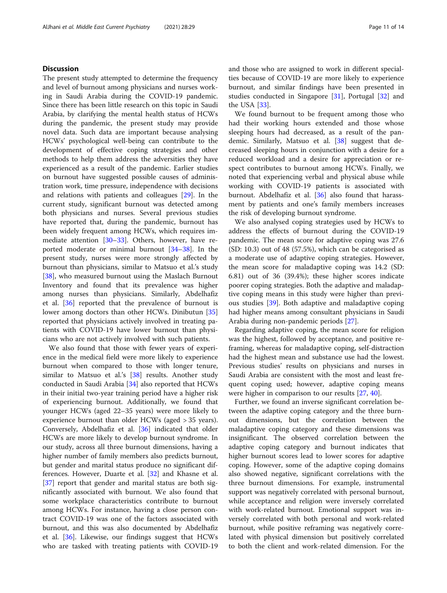# **Discussion**

The present study attempted to determine the frequency and level of burnout among physicians and nurses working in Saudi Arabia during the COVID-19 pandemic. Since there has been little research on this topic in Saudi Arabia, by clarifying the mental health status of HCWs during the pandemic, the present study may provide novel data. Such data are important because analysing HCWs' psychological well-being can contribute to the development of effective coping strategies and other methods to help them address the adversities they have experienced as a result of the pandemic. Earlier studies on burnout have suggested possible causes of administration work, time pressure, independence with decisions and relations with patients and colleagues [[29](#page-12-0)]. In the current study, significant burnout was detected among both physicians and nurses. Several previous studies have reported that, during the pandemic, burnout has been widely frequent among HCWs, which requires immediate attention [\[30](#page-12-0)–[33\]](#page-12-0). Others, however, have reported moderate or minimal burnout [[34](#page-12-0)–[38](#page-12-0)]. In the present study, nurses were more strongly affected by burnout than physicians, similar to Matsuo et al.'s study [[38\]](#page-12-0), who measured burnout using the Maslach Burnout Inventory and found that its prevalence was higher among nurses than physicians. Similarly, Abdelhafiz et al. [[36\]](#page-12-0) reported that the prevalence of burnout is lower among doctors than other HCWs. Dinibutun [[35](#page-12-0)] reported that physicians actively involved in treating patients with COVID-19 have lower burnout than physicians who are not actively involved with such patients.

We also found that those with fewer years of experience in the medical field were more likely to experience burnout when compared to those with longer tenure, similar to Matsuo et al.'s [\[38](#page-12-0)] results. Another study conducted in Saudi Arabia [\[34](#page-12-0)] also reported that HCWs in their initial two-year training period have a higher risk of experiencing burnout. Additionally, we found that younger HCWs (aged 22–35 years) were more likely to experience burnout than older HCWs (aged > 35 years). Conversely, Abdelhafiz et al. [[36\]](#page-12-0) indicated that older HCWs are more likely to develop burnout syndrome. In our study, across all three burnout dimensions, having a higher number of family members also predicts burnout, but gender and marital status produce no significant differences. However, Duarte et al. [\[32](#page-12-0)] and Khasne et al. [[37\]](#page-12-0) report that gender and marital status are both significantly associated with burnout. We also found that some workplace characteristics contribute to burnout among HCWs. For instance, having a close person contract COVID-19 was one of the factors associated with burnout, and this was also documented by Abdelhafiz et al. [[36\]](#page-12-0). Likewise, our findings suggest that HCWs who are tasked with treating patients with COVID-19 and those who are assigned to work in different specialties because of COVID-19 are more likely to experience burnout, and similar findings have been presented in studies conducted in Singapore [[31\]](#page-12-0), Portugal [\[32](#page-12-0)] and the USA [[33\]](#page-12-0).

We found burnout to be frequent among those who had their working hours extended and those whose sleeping hours had decreased, as a result of the pandemic. Similarly, Matsuo et al. [\[38\]](#page-12-0) suggest that decreased sleeping hours in conjunction with a desire for a reduced workload and a desire for appreciation or respect contributes to burnout among HCWs. Finally, we noted that experiencing verbal and physical abuse while working with COVID-19 patients is associated with burnout. Abdelhafiz et al. [\[36\]](#page-12-0) also found that harassment by patients and one's family members increases the risk of developing burnout syndrome.

We also analysed coping strategies used by HCWs to address the effects of burnout during the COVID-19 pandemic. The mean score for adaptive coping was 27.6 (SD: 10.3) out of 48 (57.5%), which can be categorised as a moderate use of adaptive coping strategies. However, the mean score for maladaptive coping was 14.2 (SD: 6.81) out of 36 (39.4%); these higher scores indicate poorer coping strategies. Both the adaptive and maladaptive coping means in this study were higher than previous studies [\[39](#page-12-0)]. Both adaptive and maladaptive coping had higher means among consultant physicians in Saudi Arabia during non-pandemic periods [[27\]](#page-12-0).

Regarding adaptive coping, the mean score for religion was the highest, followed by acceptance, and positive reframing, whereas for maladaptive coping, self-distraction had the highest mean and substance use had the lowest. Previous studies' results on physicians and nurses in Saudi Arabia are consistent with the most and least frequent coping used; however, adaptive coping means were higher in comparison to our results [[27,](#page-12-0) [40](#page-12-0)].

Further, we found an inverse significant correlation between the adaptive coping category and the three burnout dimensions, but the correlation between the maladaptive coping category and these dimensions was insignificant. The observed correlation between the adaptive coping category and burnout indicates that higher burnout scores lead to lower scores for adaptive coping. However, some of the adaptive coping domains also showed negative, significant correlations with the three burnout dimensions. For example, instrumental support was negatively correlated with personal burnout, while acceptance and religion were inversely correlated with work-related burnout. Emotional support was inversely correlated with both personal and work-related burnout, while positive reframing was negatively correlated with physical dimension but positively correlated to both the client and work-related dimension. For the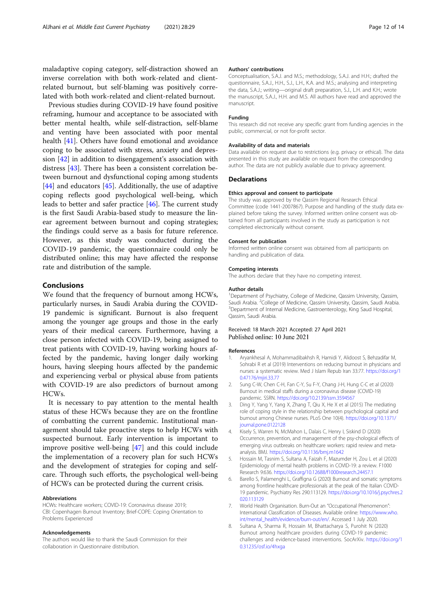<span id="page-11-0"></span>maladaptive coping category, self-distraction showed an inverse correlation with both work-related and clientrelated burnout, but self-blaming was positively correlated with both work-related and client-related burnout.

Previous studies during COVID-19 have found positive reframing, humour and acceptance to be associated with better mental health, while self-distraction, self-blame and venting have been associated with poor mental health [\[41](#page-12-0)]. Others have found emotional and avoidance coping to be associated with stress, anxiety and depression [[42\]](#page-12-0) in addition to disengagement's association with distress [\[43](#page-12-0)]. There has been a consistent correlation between burnout and dysfunctional coping among students [[44\]](#page-12-0) and educators [[45](#page-12-0)]. Additionally, the use of adaptive coping reflects good psychological well-being, which leads to better and safer practice [[46\]](#page-13-0). The current study is the first Saudi Arabia-based study to measure the linear agreement between burnout and coping strategies; the findings could serve as a basis for future reference. However, as this study was conducted during the COVID-19 pandemic, the questionnaire could only be distributed online; this may have affected the response rate and distribution of the sample.

# Conclusions

We found that the frequency of burnout among HCWs, particularly nurses, in Saudi Arabia during the COVID-19 pandemic is significant. Burnout is also frequent among the younger age groups and those in the early years of their medical careers. Furthermore, having a close person infected with COVID-19, being assigned to treat patients with COVID-19, having working hours affected by the pandemic, having longer daily working hours, having sleeping hours affected by the pandemic and experiencing verbal or physical abuse from patients with COVID-19 are also predictors of burnout among HCWs.

It is necessary to pay attention to the mental health status of these HCWs because they are on the frontline of combatting the current pandemic. Institutional management should take proactive steps to help HCWs with suspected burnout. Early intervention is important to improve positive well-being [\[47\]](#page-13-0) and this could include the implementation of a recovery plan for such HCWs and the development of strategies for coping and selfcare. Through such efforts, the psychological well-being of HCWs can be protected during the current crisis.

## Abbreviations

HCWs: Healthcare workers; COVID-19: Coronavirus disease 2019; CBI: Copenhagen Burnout Inventory; Brief-COPE: Coping Orientation to Problems Experienced

#### Acknowledgements

The authors would like to thank the Saudi Commission for their collaboration in Questionnaire distribution.

## Authors' contributions

Conceptualisation, S.A.J. and M.S.; methodology, S.A.J. and H.H.; drafted the questionnaire, S.A.J., H.H., S.J., L.H., K.A. and M.S.; analysing and interpreting the data, S.A.J.; writing—original draft preparation, S.J., L.H. and K.H.; wrote the manuscript, S.A.J., H.H. and M.S. All authors have read and approved the manuscript.

#### Funding

This research did not receive any specific grant from funding agencies in the public, commercial, or not for-profit sector.

#### Availability of data and materials

Data available on request due to restrictions (e.g. privacy or ethical). The data presented in this study are available on request from the corresponding author. The data are not publicly available due to privacy agreement.

#### **Declarations**

#### Ethics approval and consent to participate

The study was approved by the Qassim Regional Research Ethical Committee (code 1441-2007867). Purpose and handling of the study data explained before taking the survey. Informed written online consent was obtained from all participants involved in the study as participation is not completed electronically without consent.

#### Consent for publication

Informed written online consent was obtained from all participants on handling and publication of data.

#### Competing interests

The authors declare that they have no competing interest.

#### Author details

<sup>1</sup>Department of Psychiatry, College of Medicine, Qassim University, Qassim Saudi Arabia. <sup>2</sup> College of Medicine, Qassim University, Qassim, Saudi Arabia.<br><sup>3</sup> Dopartment of Internal Medicine, Gastroenterelogy, King Saud Hernital. <sup>3</sup>Department of Internal Medicine, Gastroenterology, King Saud Hospital, Qassim, Saudi Arabia.

### Received: 18 March 2021 Accepted: 27 April 2021 Published online: 10 June 2021

#### References

- 1. Aryankhesal A, Mohammadibakhsh R, Hamidi Y, Alidoost S, Behzadifar M, Sohrabi R et al (2019) Interventions on reducing burnout in physicians and nurses: a systematic review. Med J Islam Repub Iran 33:77. [https://doi.org/1](https://doi.org/10.47176/mjiri.33.77) [0.47176/mjiri.33.77](https://doi.org/10.47176/mjiri.33.77)
- 2. Sung C-W, Chen C-H, Fan C-Y, Su F-Y, Chang J-H, Hung C-C et al (2020) Burnout in medical staffs during a coronavirus disease (COVID-19) pandemic. SSRN. <https://doi.org/10.2139/ssrn.3594567>
- 3. Ding Y, Yang Y, Yang X, Zhang T, Qiu X, He X et al (2015) The mediating role of coping style in the relationship between psychological capital and burnout among Chinese nurses. PLoS One 10(4). [https://doi.org/10.1371/](https://doi.org/10.1371/journal.pone.0122128) [journal.pone.0122128](https://doi.org/10.1371/journal.pone.0122128)
- 4. Kisely S, Warren N, McMahon L, Dalais C, Henry I, Siskind D (2020) Occurrence, prevention, and management of the psy-chological effects of emerging virus outbreaks on healthcare workers: rapid review and metaanalysis. BMJ. <https://doi.org/10.1136/bmj.m1642>
- 5. Hossain M, Tasnim S, Sultana A, Faizah F, Mazumder H, Zou L et al (2020) Epidemiology of mental health problems in COVID-19: a review. F1000 Research 9:636. <https://doi.org/10.12688/f1000research.24457.1>
- Barello S, Palamenghi L, Graffigna G (2020) Burnout and somatic symptoms among frontline healthcare professionals at the peak of the Italian COVID-19 pandemic. Psychiatry Res 290:113129. [https://doi.org/10.1016/j.psychres.2](https://doi.org/10.1016/j.psychres.2020.113129) [020.113129](https://doi.org/10.1016/j.psychres.2020.113129)
- 7. World Health Organisation. Burn-Out an "Occupational Phenomenon": International Classification of Diseases. Available online: [https://www.who.](https://www.who.int/mental_health/evidence/burn-out/en/) [int/mental\\_health/evidence/burn-out/en/.](https://www.who.int/mental_health/evidence/burn-out/en/) Accessed 1 July 2020.
- 8. Sultana A, Sharma R, Hossain M, Bhattacharya S, Purohit N (2020) Burnout among healthcare providers during COVID-19 pandemic: challenges and evidence-based interventions. SocArXiv. [https://doi.org/1](https://doi.org/10.31235/osf.io/4hxga) [0.31235/osf.io/4hxga](https://doi.org/10.31235/osf.io/4hxga)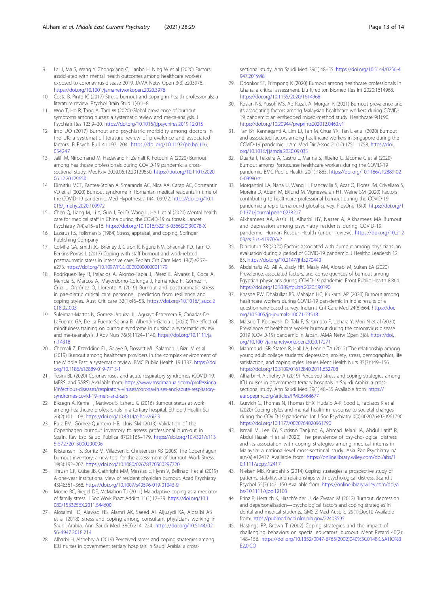- <span id="page-12-0"></span>9. Lai J, Ma S, Wang Y, Zhongxiang C, Jianbo H, Ning W et al (2020) Factors associ-ated with mental health outcomes among healthcare workers exposed to coronavirus disease 2019. JAMA Netw Open 3(3):e203976. <https://doi.org/10.1001/jamanetworkopen.2020.3976>
- 10. Costa B, Pinto IC (2017) Stress, burnout and coping in health professionals: a literature review. Psychol Brain Stud 1(4):1–8
- 11. Woo T, Ho R, Tang A, Tam W (2020) Global prevalence of burnout symptoms among nurses: a systematic review and me-ta-analysis. J Psychiatr Res 123:9–20. <https://doi.org/10.1016/j.jpsychires.2019.12.015>
- 12. Imo UO (2017) Burnout and psychiatric morbidity among doctors in the UK: a systematic literature review of prevalence and associated factors. BJPsych Bull 41:197–204. [https://doi.org/10.1192/pb.bp.116.](https://doi.org/10.1192/pb.bp.116.054247) [054247](https://doi.org/10.1192/pb.bp.116.054247)
- 13. Jalili M, Niroomand M, Hadavand F, Zeinali K, Fotouhi A (2020) Burnout among healthcare professionals during COVID-19 pandemic: a crosssectional study. MedRxiv 2020.06.12.20129650. [https://doi.org/10.1101/2020.](https://doi.org/10.1101/2020.06.12.20129650) [06.12.20129650](https://doi.org/10.1101/2020.06.12.20129650)
- 14. Dimitriu MCT, Pantea-Stoian A, Smaranda AC, Nica AA, Carap AC, Constantin VD et al (2020) Burnout syndrome in Romanian medical residents in time of the COVID-19 pandemic. Med Hypotheses 144:109972. [https://doi.org/10.1](https://doi.org/10.1016/j.mehy.2020.109972) [016/j.mehy.2020.109972](https://doi.org/10.1016/j.mehy.2020.109972)
- 15. Chen Q, Liang M, Li Y, Guo J, Fei D, Wang L, He L et al (2020) Mental health care for medical staff in China during the COVID-19 outbreak. Lancet Psychiatry 7(4):e15–e16. [https://doi.org/10.1016/S2215-0366\(20\)30078-X](https://doi.org/10.1016/S2215-0366(20)30078-X)
- 16. Lazarus RS, Folkman S (1984) Stress, appraisal, and coping. Springer Publishing Company
- 17. Colville GA, Smith JG, Brierley J, Citron K, Nguru NM, Shaunak PD, Tam O, Perkins-Porras L (2017) Coping with staff burnout and work-related posttraumatic stress in intensive care. Pediatr Crit Care Med 18(7):e267– e273. <https://doi.org/10.1097/PCC.0000000000001179>
- 18. Rodríguez-Rey R, Palacios A, Alonso-Tapia J, Pérez E, Álvarez E, Coca A, Mencía S, Marcos A, Mayordomo-Colunga J, Fernández F, Gómez F, Cruz J, Ordóñez O, Llorente A (2019) Burnout and posttraumatic stress in pae-diatric critical care personnel: prediction from resilience and coping styles. Aust Crit care 32(1):46–53. [https://doi.org/10.1016/j.aucc.2](https://doi.org/10.1016/j.aucc.2018.02.003) [018.02.003](https://doi.org/10.1016/j.aucc.2018.02.003)
- 19. Suleiman-Martos N, Gomez-Urquiza JL, Aguayo-Estremera R, Cañadas-De LaFuente GA, De La Fuente-Solana EI, Albendín-García L (2020) The effect of mindfulness training on burnout syndrome in nursing: a systematic review and me-ta-analysis. J Adv Nurs 76(5):1124–1140. [https://doi.org/10.1111/ja](https://doi.org/10.1111/jan.14318) [n.14318](https://doi.org/10.1111/jan.14318)
- 20. Chemali Z, Ezzeddine FL, Gelaye B, Dossett ML, Salameh J, Bizri M et al (2019) Burnout among healthcare providers in the complex environment of the Middle East: a systematic review. BMC Public Health 19:1337. [https://doi.](https://doi.org/10.1186/s12889-019-7713-1) [org/10.1186/s12889-019-7713-1](https://doi.org/10.1186/s12889-019-7713-1)
- 21. Tesini BL (2020) Coronaviruses and acute respiratory syndromes (COVID-19, MERS, and SARS) Available from: [https://www.msdmanuals.com/professiona](https://www.msdmanuals.com/professional/infectious-diseases/respiratory-viruses/coronaviruses-and-acute-respiratory-syndromes-covid-19-mers-and-sars) [l/infectious-diseases/respiratory-viruses/coronaviruses-and-acute-respiratory](https://www.msdmanuals.com/professional/infectious-diseases/respiratory-viruses/coronaviruses-and-acute-respiratory-syndromes-covid-19-mers-and-sars)[syndromes-covid-19-mers-and-sars](https://www.msdmanuals.com/professional/infectious-diseases/respiratory-viruses/coronaviruses-and-acute-respiratory-syndromes-covid-19-mers-and-sars)
- 22. Biksegn A, Kenfe T, Matiwos S, Eshetu G (2016) Burnout status at work among healthcare professionals in a tertiary hospital. Ethiop J Health Sci 26(2):101–108. <https://doi.org/10.4314/ejhs.v26i2.3>
- 23. Ruiz EM, Gómez-Quintero HB, Lluis SM (2013) Validation of the Copenhagen burnout inventory to assess professional burn-out in Spain. Rev Esp Salud Publica 87(2):165–179. [https://doi.org/10.4321/s113](https://doi.org/10.4321/s1135-57272013000200006) [5-57272013000200006](https://doi.org/10.4321/s1135-57272013000200006)
- 24. Kristensen TS, Borritz M, Villadsen E, Christensen KB (2005) The Copenhagen burnout inventory: a new tool for the assess-ment of burnout. Work Stress 19(3):192–207. <https://doi.org/10.1080/02678370500297720>
- 25. Thrush CR, Guise JB, Gathright MM, Messias E, Flynn V, Belknap T et al (2019) A one-year institutional view of resident physician burnout. Acad Psychiatry 43(4):361–368. <https://doi.org/10.1007/s40596-019-01043-9>
- 26. Moore BC, Biegel DE, McMahon TJ (2011) Maladaptive coping as a mediator of family stress. J Soc Work Pract Addict 11(1):17–39. [https://doi.org/10.1](https://doi.org/10.1080/1533256X.2011.544600) [080/1533256X.2011.544600](https://doi.org/10.1080/1533256X.2011.544600)
- 27. Alosaimi FD, Alawad HS, Alamri AK, Saeed AI, Aljuaydi KA, Alotaibi AS et al (2018) Stress and coping among consultant physicians working in Saudi Arabia. Ann Saudi Med 38(3):214–224. [https://doi.org/10.5144/02](https://doi.org/10.5144/0256-4947.2018.214) [56-4947.2018.214](https://doi.org/10.5144/0256-4947.2018.214)
- 28. Alharbi H, Alshehry A (2019) Perceived stress and coping strategies among ICU nurses in government tertiary hospitals in Saudi Arabia: a cross-

sectional study. Ann Saudi Med 39(1):48–55. [https://doi.org/10.5144/0256-4](https://doi.org/10.5144/0256-4947.2019.48) [947.2019.48](https://doi.org/10.5144/0256-4947.2019.48)

- 29. Odonkor ST, Frimpong K (2020) Burnout among healthcare professionals in Ghana: a critical assessment. Liu R, editor. Biomed Res Int 2020:1614968. <https://doi.org/10.1155/2020/1614968>
- 30. Roslan NS, Yusoff MS, Ab Razak A, Morgan K (2021) Burnout prevalence and its associating factors among Malaysian healthcare workers during COVID-19 pandemic: an embedded mixed-method study. Healthcare 9(1):90. <https://doi.org/10.20944/preprints202012.0463.v1>
- 31. Tan BY, Kanneganti A, Lim LJ, Tan M, Chua YX, Tan L et al (2020) Burnout and associated factors among healthcare workers in Singapore during the COVID-19 pandemic. J Am Med Dir Assoc 21(12):1751–1758. [https://doi.](https://doi.org/10.1016/j.jamda.2020.09.035) [org/10.1016/j.jamda.2020.09.035](https://doi.org/10.1016/j.jamda.2020.09.035)
- 32. Duarte I, Teixeira A, Castro L, Marina S, Ribeiro C, Jácome C et al (2020) Burnout among Portuguese healthcare workers during the COVID-19 pandemic. BMC Public Health 20(1):1885. [https://doi.org/10.1186/s12889-02](https://doi.org/10.1186/s12889-020-09980-z) [0-09980-z](https://doi.org/10.1186/s12889-020-09980-z)
- 33. Morgantini LA, Naha U, Wang H, Francavilla S, Acar Ö, Flores JM, Crivellaro S, Moreira D, Abern M, Eklund M, Vigneswaran HT, Weine SM (2020) Factors contributing to healthcare professional burnout during the COVID-19 pandemic: a rapid turnaround global survey. PlosOne 15(9). [https://doi.org/1](https://doi.org/10.1371/journal.pone.0238217) [0.1371/journal.pone.0238217](https://doi.org/10.1371/journal.pone.0238217)
- 34. Alkhamees AA, Assiri H, Alharbi HY, Nasser A, Alkhamees MA Burnout and depression among psychiatry residents during COVID-19 pandemic. Human Resour Health (under review). [https://doi.org/10.212](https://doi.org/10.21203/rs.3.rs-41970/v2) [03/rs.3.rs-41970/v2](https://doi.org/10.21203/rs.3.rs-41970/v2)
- 35. Dinibutun SR (2020) Factors associated with burnout among physicians: an evaluation during a period of COVID-19 pandemic. J Healthc Leadersh 12: 85. <https://doi.org/10.2147/jhl.s270440>
- 36. Abdelhafiz AS, Ali A, Ziady HH, Maaly AM, Alorabi M, Sultan EA (2020) Prevalence, associated factors, and conse-quences of burnout among Egyptian physicians during COVID-19 pandemic. Front Public Health 8:864. <https://doi.org/10.3389/fpubh.2020.590190>
- 37. Khasne RW, Dhakulkar BS, Mahajan HC, Kulkarni AP (2020) Burnout among healthcare workers during COVID-19 pan-demic in India: results of a questionnaire-based survey. Indian J Crit Care Med 24(8):664. [https://doi.](https://doi.org/10.5005/jp-journals-10071-23518) [org/10.5005/jp-journals-10071-23518](https://doi.org/10.5005/jp-journals-10071-23518)
- 38. Matsuo T, Kobayashi D, Taki F, Sakamoto F, Uehara Y, Mori N et al (2020) Prevalence of healthcare worker burnout during the coronavirus disease 2019 (COVID-19) pandemic in Japan. JAMA Netw Open 3(8). [https://doi.](https://doi.org/10.1001/jamanetworkopen.2020.17271) [org/10.1001/jamanetworkopen.2020.17271](https://doi.org/10.1001/jamanetworkopen.2020.17271)
- 39. Mahmoud JSR, Staten R, Hall LA, Lennie TA (2012) The relationship among young adult college students' depression, anxiety, stress, demographics, life satisfaction, and coping styles. Issues Ment Health Nurs 33(3):149–156. <https://doi.org/10.3109/01612840.2011.632708>
- 40. Alharbi H, Alshehry A (2019) Perceived stress and coping strategies among ICU nurses in government tertiary hospitals in Sau-di Arabia: a crosssectional study. Ann Saudi Med 39(1):48–55 Available from: [https://](https://europepmc.org/articles/PMC6464677) [europepmc.org/articles/PMC6464677](https://europepmc.org/articles/PMC6464677)
- 41. Gurvich C, Thomas N, Thomas EHX, Hudaib A-R, Sood L, Fabiatos K et al (2020) Coping styles and mental health in response to societal changes during the COVID-19 pandemic. Int J Soc Psychiatry 0(0):0020764020961790. <https://doi.org/10.1177/0020764020961790>
- 42. Ismail M, Lee KY, Sutrisno Tanjung A, Ahmad Jelani IA, Abdul Latiff R, Abdul Razak H et al (2020) The prevalence of psy-cho-logical distress and its association with coping strategies among medical interns in Malaysia: a national-level cross-sectional study. Asia Pac Psychiatry n/ a(n/a):e12417 Available from: [https://onlinelibrary.wiley.com/doi/abs/1](https://onlinelibrary.wiley.com/doi/abs/10.1111/appy.12417) [0.1111/appy.12417](https://onlinelibrary.wiley.com/doi/abs/10.1111/appy.12417)
- 43. Nielsen MB, Knardahl S (2014) Coping strategies: a prospective study of patterns, stability, and relationships with psychological distress. Scand J Psychol 55(2):142–150 Available from: [https://onlinelibrary.wiley.com/doi/a](https://onlinelibrary.wiley.com/doi/abs/10.1111/sjop.12103) [bs/10.1111/sjop.12103](https://onlinelibrary.wiley.com/doi/abs/10.1111/sjop.12103)
- 44. Prinz P, Hertrich K, Hirschfelder U, de Zwaan M (2012) Burnout, depression and depersonalisation—psychological factors and coping strategies in dental and medical students. GMS Z Med Ausbild 29(1):Doc10 Available from: <https://pubmed.ncbi.nlm.nih.gov/22403595>
- 45. Hastings RP, Brown T (2002) Coping strategies and the impact of challenging behaviors on special educators' burnout. Ment Retard 40(2): 148–156. [https://doi.org/10.1352/0047-6765\(2002\)040%3C0148:CSATIO%3](https://doi.org/10.1352/0047-6765(2002)040%3C0148:CSATIO%3E2.0.CO) [E2.0.CO](https://doi.org/10.1352/0047-6765(2002)040%3C0148:CSATIO%3E2.0.CO)